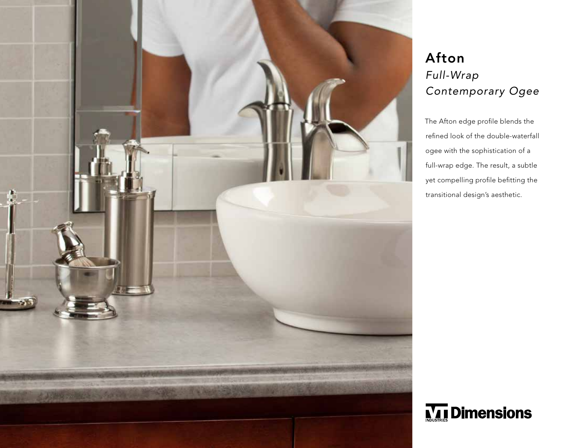

## Afton *Full-Wrap Contemporary Ogee*

The Afton edge profile blends the refined look of the double-waterfall ogee with the sophistication of a full-wrap edge. The result, a subtle yet compelling profile befitting the transitional design's aesthetic.